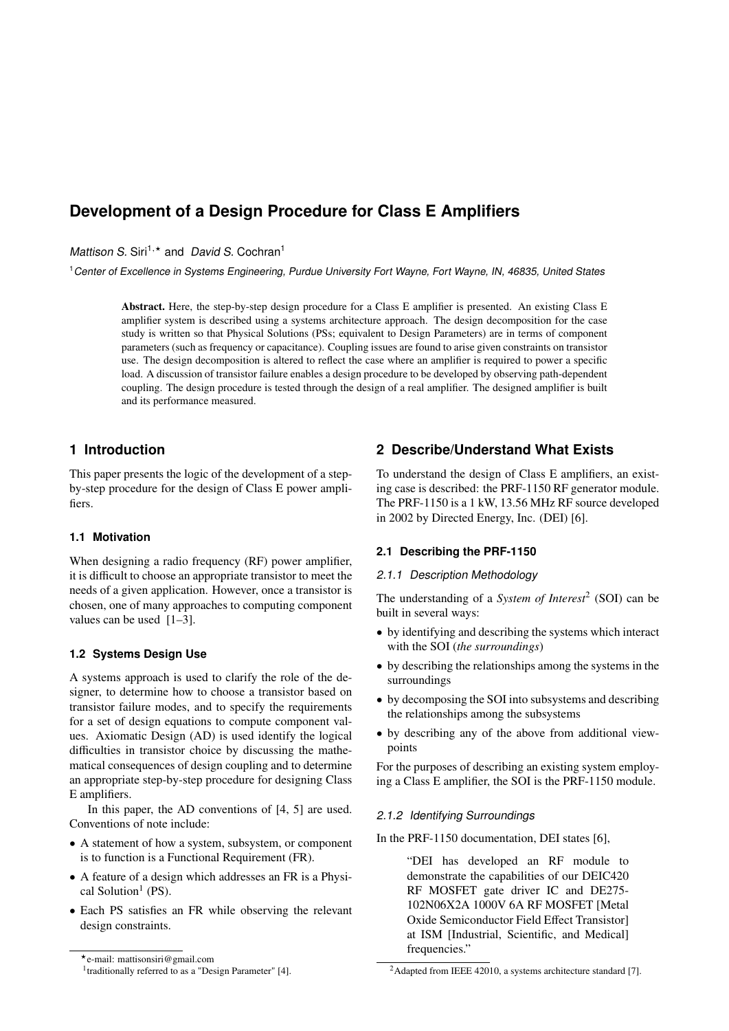# **Development of a Design Procedure for Class E Amplifiers**

*Mattison S. Siri<sup>1,\*</sup> and <i>David S. Cochran<sup>1</sup>* 

<sup>1</sup>*Center of Excellence in Systems Engineering, Purdue University Fort Wayne, Fort Wayne, IN, 46835, United States*

Abstract. Here, the step-by-step design procedure for a Class E amplifier is presented. An existing Class E amplifier system is described using a systems architecture approach. The design decomposition for the case study is written so that Physical Solutions (PSs; equivalent to Design Parameters) are in terms of component parameters (such as frequency or capacitance). Coupling issues are found to arise given constraints on transistor use. The design decomposition is altered to reflect the case where an amplifier is required to power a specific load. A discussion of transistor failure enables a design procedure to be developed by observing path-dependent coupling. The design procedure is tested through the design of a real amplifier. The designed amplifier is built and its performance measured.

## **1 Introduction**

This paper presents the logic of the development of a stepby-step procedure for the design of Class E power amplifiers.

## **1.1 Motivation**

When designing a radio frequency (RF) power amplifier, it is difficult to choose an appropriate transistor to meet the needs of a given application. However, once a transistor is chosen, one of many approaches to computing component values can be used [1–3].

## **1.2 Systems Design Use**

A systems approach is used to clarify the role of the designer, to determine how to choose a transistor based on transistor failure modes, and to specify the requirements for a set of design equations to compute component values. Axiomatic Design (AD) is used identify the logical difficulties in transistor choice by discussing the mathematical consequences of design coupling and to determine an appropriate step-by-step procedure for designing Class E amplifiers.

In this paper, the AD conventions of [4, 5] are used. Conventions of note include:

- A statement of how a system, subsystem, or component is to function is a Functional Requirement (FR).
- A feature of a design which addresses an FR is a Physical Solution<sup>1</sup> (PS).
- Each PS satisfies an FR while observing the relevant design constraints.

## **2 Describe/Understand What Exists**

To understand the design of Class E amplifiers, an existing case is described: the PRF-1150 RF generator module. The PRF-1150 is a 1 kW, 13.56 MHz RF source developed in 2002 by Directed Energy, Inc. (DEI) [6].

## **2.1 Describing the PRF-1150**

#### *2.1.1 Description Methodology*

The understanding of a *System of Interest*<sup>2</sup> (SOI) can be built in several ways:

- by identifying and describing the systems which interact with the SOI (*the surroundings*)
- by describing the relationships among the systems in the surroundings
- by decomposing the SOI into subsystems and describing the relationships among the subsystems
- by describing any of the above from additional viewpoints

For the purposes of describing an existing system employing a Class E amplifier, the SOI is the PRF-1150 module.

## *2.1.2 Identifying Surroundings*

In the PRF-1150 documentation, DEI states [6],

"DEI has developed an RF module to demonstrate the capabilities of our DEIC420 RF MOSFET gate driver IC and DE275- 102N06X2A 1000V 6A RF MOSFET [Metal Oxide Semiconductor Field Effect Transistor] at ISM [Industrial, Scientific, and Medical] frequencies."

<sup>?</sup>e-mail: mattisonsiri@gmail.com

<sup>&</sup>lt;sup>1</sup>traditionally referred to as a "Design Parameter" [4].

<sup>&</sup>lt;sup>2</sup>Adapted from IEEE 42010, a systems architecture standard [7].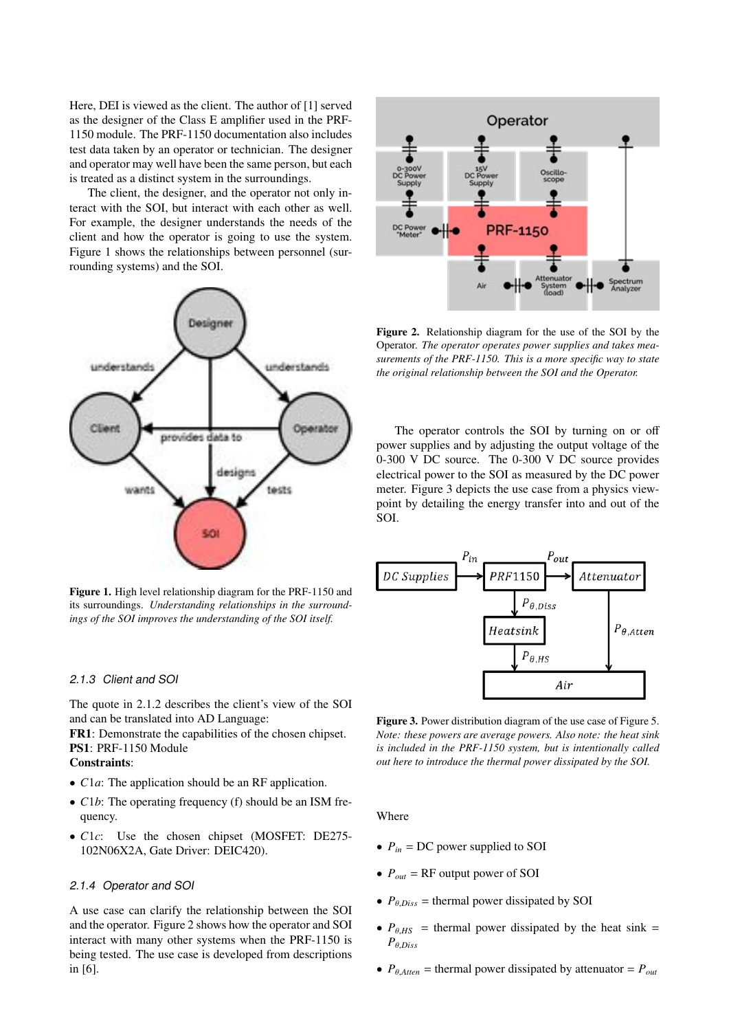Here, DEI is viewed as the client. The author of [1] served as the designer of the Class E amplifier used in the PRF-1150 module. The PRF-1150 documentation also includes test data taken by an operator or technician. The designer and operator may well have been the same person, but each is treated as a distinct system in the surroundings.

The client, the designer, and the operator not only interact with the SOI, but interact with each other as well. For example, the designer understands the needs of the client and how the operator is going to use the system. Figure 1 shows the relationships between personnel (surrounding systems) and the SOI.



Figure 1. High level relationship diagram for the PRF-1150 and its surroundings. *Understanding relationships in the surroundings of the SOI improves the understanding of the SOI itself.*

#### *2.1.3 Client and SOI*

The quote in 2.1.2 describes the client's view of the SOI and can be translated into AD Language:

FR1: Demonstrate the capabilities of the chosen chipset. PS1: PRF-1150 Module

## Constraints:

- *C*1*a*: The application should be an RF application.
- *C1b*: The operating frequency (f) should be an ISM frequency.
- *C*1*c*: Use the chosen chipset (MOSFET: DE275- 102N06X2A, Gate Driver: DEIC420).

#### *2.1.4 Operator and SOI*

A use case can clarify the relationship between the SOI and the operator. Figure 2 shows how the operator and SOI interact with many other systems when the PRF-1150 is being tested. The use case is developed from descriptions in [6].



Figure 2. Relationship diagram for the use of the SOI by the Operator. *The operator operates power supplies and takes measurements of the PRF-1150. This is a more specific way to state the original relationship between the SOI and the Operator.*

The operator controls the SOI by turning on or off power supplies and by adjusting the output voltage of the 0-300 V DC source. The 0-300 V DC source provides electrical power to the SOI as measured by the DC power meter. Figure 3 depicts the use case from a physics viewpoint by detailing the energy transfer into and out of the SOI.



Figure 3. Power distribution diagram of the use case of Figure 5. *Note: these powers are average powers. Also note: the heat sink is included in the PRF-1150 system, but is intentionally called out here to introduce the thermal power dissipated by the SOI.*

Where

- $P_{in}$  = DC power supplied to SOI
- $P_{out}$  = RF output power of SOI
- $P_{\theta \text{ Dis}}$  = thermal power dissipated by SOI
- $P_{\theta,HS}$  = thermal power dissipated by the heat sink =  $P_{\theta,DisS}$
- $P_{\theta,Atten}$  = thermal power dissipated by attenuator =  $P_{\text{out}}$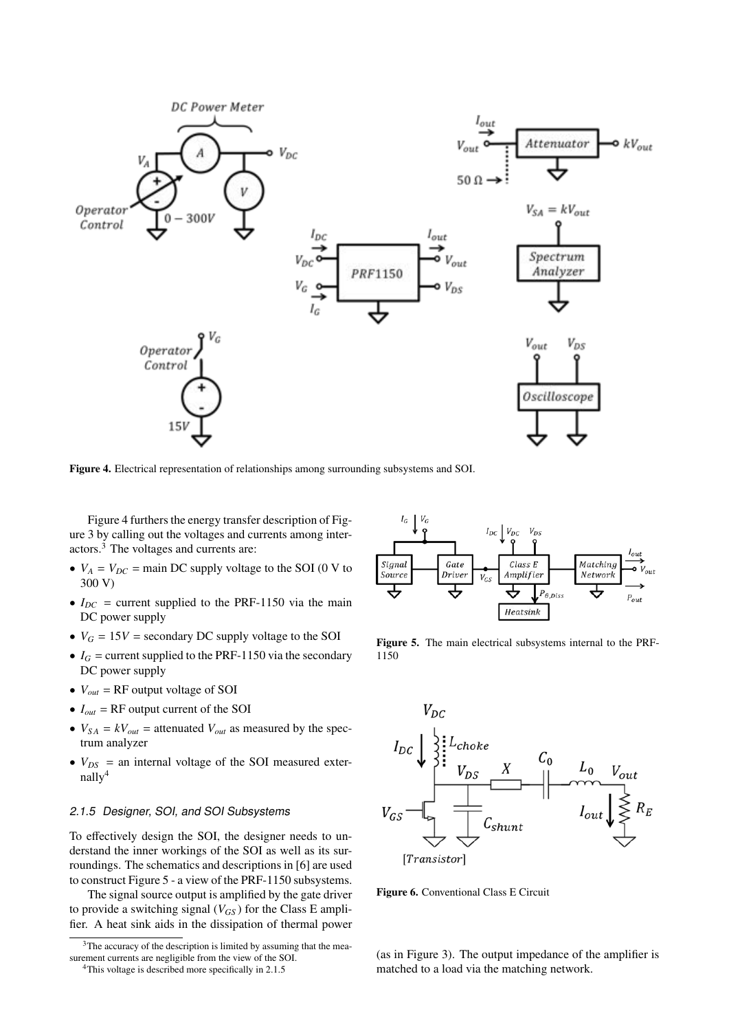

Figure 4. Electrical representation of relationships among surrounding subsystems and SOI.

Figure 4 furthers the energy transfer description of Figure 3 by calling out the voltages and currents among interactors.3 The voltages and currents are:

- $V_A = V_{DC}$  = main DC supply voltage to the SOI (0 V to 300 V)
- $I_{DC}$  = current supplied to the PRF-1150 via the main DC power supply
- $V_G = 15V$  = secondary DC supply voltage to the SOI
- $I_G$  = current supplied to the PRF-1150 via the secondary DC power supply
- $V_{out}$  = RF output voltage of SOI
- $\bullet$   $I_{out}$  = RF output current of the SOI
- $V_{SA} = kV_{out}$  = attenuated  $V_{out}$  as measured by the spectrum analyzer
- $V_{DS}$  = an internal voltage of the SOI measured externally4

## *2.1.5 Designer, SOI, and SOI Subsystems*

To effectively design the SOI, the designer needs to understand the inner workings of the SOI as well as its surroundings. The schematics and descriptions in [6] are used to construct Figure 5 - a view of the PRF-1150 subsystems.

The signal source output is amplified by the gate driver to provide a switching signal  $(V_{GS})$  for the Class E amplifier. A heat sink aids in the dissipation of thermal power



Figure 5. The main electrical subsystems internal to the PRF-1150



Figure 6. Conventional Class E Circuit

(as in Figure 3). The output impedance of the amplifier is matched to a load via the matching network.

<sup>&</sup>lt;sup>3</sup>The accuracy of the description is limited by assuming that the measurement currents are negligible from the view of the SOI.

<sup>&</sup>lt;sup>4</sup>This voltage is described more specifically in 2.1.5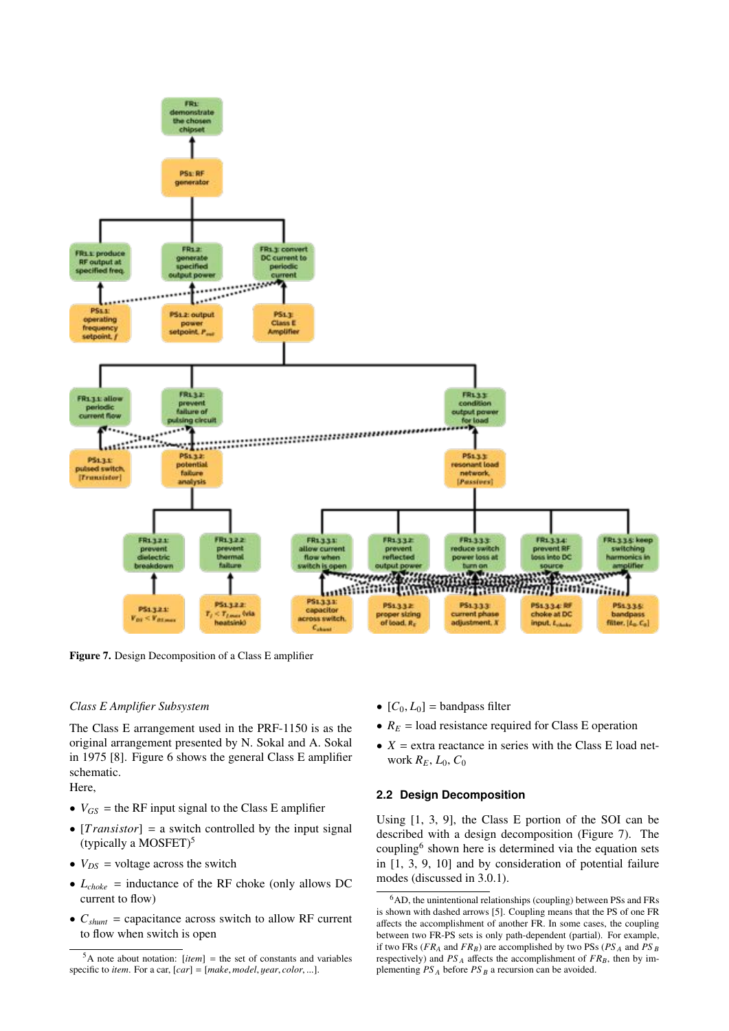

Figure 7. Design Decomposition of a Class E amplifier

#### *Class E Amplifier Subsystem*

The Class E arrangement used in the PRF-1150 is as the original arrangement presented by N. Sokal and A. Sokal in 1975 [8]. Figure 6 shows the general Class E amplifier schematic.

Here,

- $V_{GS}$  = the RF input signal to the Class E amplifier
- [*Transistor*] = a switch controlled by the input signal (typically a MOSFET)<sup>5</sup>
- $V_{DS}$  = voltage across the switch
- $L_{choke}$  = inductance of the RF choke (only allows DC current to flow)
- $C_{shunt}$  = capacitance across switch to allow RF current to flow when switch is open
- $[C_0, L_0]$  = bandpass filter
- $R_E$  = load resistance required for Class E operation
- $X =$  extra reactance in series with the Class E load network *RE*, *L*0, *C*<sup>0</sup>

#### **2.2 Design Decomposition**

Using [1, 3, 9], the Class E portion of the SOI can be described with a design decomposition (Figure 7). The coupling6 shown here is determined via the equation sets in [1, 3, 9, 10] and by consideration of potential failure modes (discussed in 3.0.1).

 $5A$  note about notation: [*item*] = the set of constants and variables specific to *item*. For a car, [*car*] = [*make*, *model*, y*ear*, *color*, ...].

 ${}^{6}$ AD, the unintentional relationships (coupling) between PSs and FRs is shown with dashed arrows [5]. Coupling means that the PS of one FR affects the accomplishment of another FR. In some cases, the coupling between two FR-PS sets is only path-dependent (partial). For example, if two FRs (*FRA* and *FRB*) are accomplished by two PSs (*PS <sup>A</sup>* and *PS <sup>B</sup>* respectively) and  $PS_A$  affects the accomplishment of  $FR_B$ , then by implementing *PS <sup>A</sup>* before *PS <sup>B</sup>* a recursion can be avoided.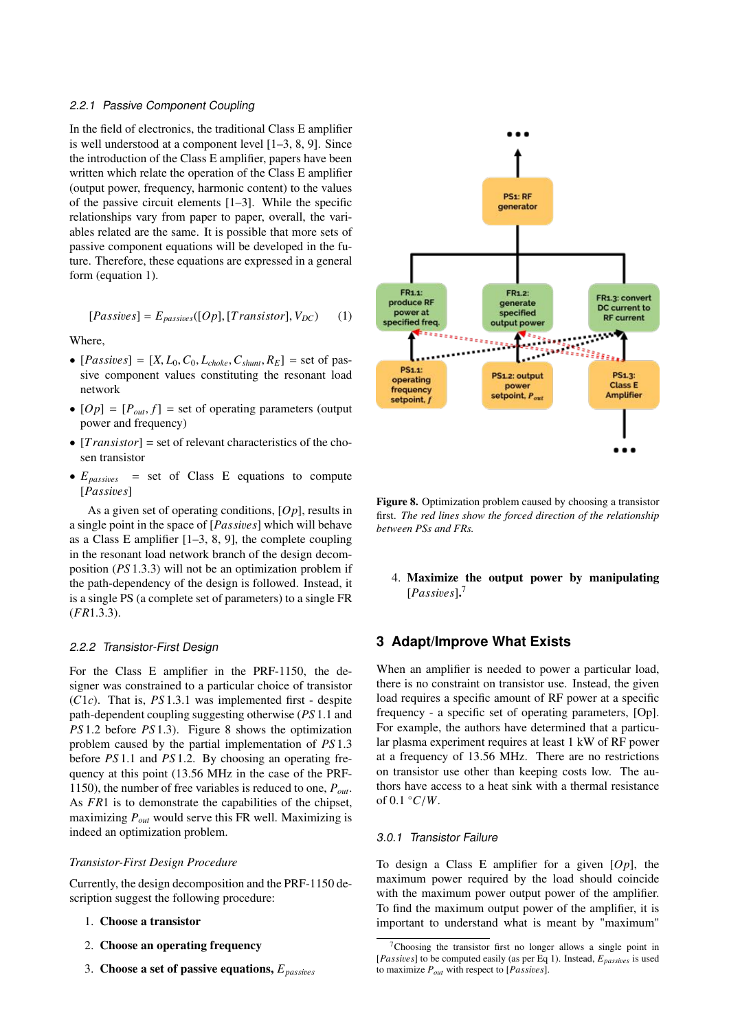#### *2.2.1 Passive Component Coupling*

In the field of electronics, the traditional Class E amplifier is well understood at a component level [1–3, 8, 9]. Since the introduction of the Class E amplifier, papers have been written which relate the operation of the Class E amplifier (output power, frequency, harmonic content) to the values of the passive circuit elements [1–3]. While the specific relationships vary from paper to paper, overall, the variables related are the same. It is possible that more sets of passive component equations will be developed in the future. Therefore, these equations are expressed in a general form (equation 1).

$$
[Passives] = E_{passives}([Op], [Transistor], V_{DC}) \tag{1}
$$

Where,

- $[Passives] = [X, L_0, C_0, L_{choke}, C_{shunt}, R_E] = set of pas$ sive component values constituting the resonant load network
- $[Op] = [P_{out}, f]$  = set of operating parameters (output power and frequency)
- [*T ransistor*] = set of relevant characteristics of the chosen transistor
- $E_{passines}$  = set of Class E equations to compute [*Passi*v*es*]

As a given set of operating conditions, [*Op*], results in a single point in the space of [*Passi*v*es*] which will behave as a Class E amplifier [1–3, 8, 9], the complete coupling in the resonant load network branch of the design decomposition (*PS* 1.3.3) will not be an optimization problem if the path-dependency of the design is followed. Instead, it is a single PS (a complete set of parameters) to a single FR (*FR*1.3.3).

#### *2.2.2 Transistor-First Design*

For the Class E amplifier in the PRF-1150, the designer was constrained to a particular choice of transistor (*C*1*c*). That is, *PS* 1.3.1 was implemented first - despite path-dependent coupling suggesting otherwise (*PS* 1.1 and *PS* 1.2 before *PS* 1.3). Figure 8 shows the optimization problem caused by the partial implementation of *PS* 1.3 before *PS* 1.1 and *PS* 1.2. By choosing an operating frequency at this point (13.56 MHz in the case of the PRF-1150), the number of free variables is reduced to one, *Pout*. As *FR*1 is to demonstrate the capabilities of the chipset, maximizing *Pout* would serve this FR well. Maximizing is indeed an optimization problem.

#### *Transistor-First Design Procedure*

Currently, the design decomposition and the PRF-1150 description suggest the following procedure:

- 1. Choose a transistor
- 2. Choose an operating frequency
- 3. Choose a set of passive equations, *Epassi*<sup>v</sup>*es*



Figure 8. Optimization problem caused by choosing a transistor first. *The red lines show the forced direction of the relationship between PSs and FRs.*

4. Maximize the output power by manipulating [*Passi*v*es*]. 7

## **3 Adapt/Improve What Exists**

When an amplifier is needed to power a particular load, there is no constraint on transistor use. Instead, the given load requires a specific amount of RF power at a specific frequency - a specific set of operating parameters, [Op]. For example, the authors have determined that a particular plasma experiment requires at least 1 kW of RF power at a frequency of 13.56 MHz. There are no restrictions on transistor use other than keeping costs low. The authors have access to a heat sink with a thermal resistance of  $0.1 \degree C/W$ .

#### *3.0.1 Transistor Failure*

To design a Class E amplifier for a given [*Op*], the maximum power required by the load should coincide with the maximum power output power of the amplifier. To find the maximum output power of the amplifier, it is important to understand what is meant by "maximum"

 $7$ Choosing the transistor first no longer allows a single point in [*Passi*v*es*] to be computed easily (as per Eq 1). Instead, *Epassi*<sup>v</sup>*es* is used to maximize *Pout* with respect to [*Passi*v*es*].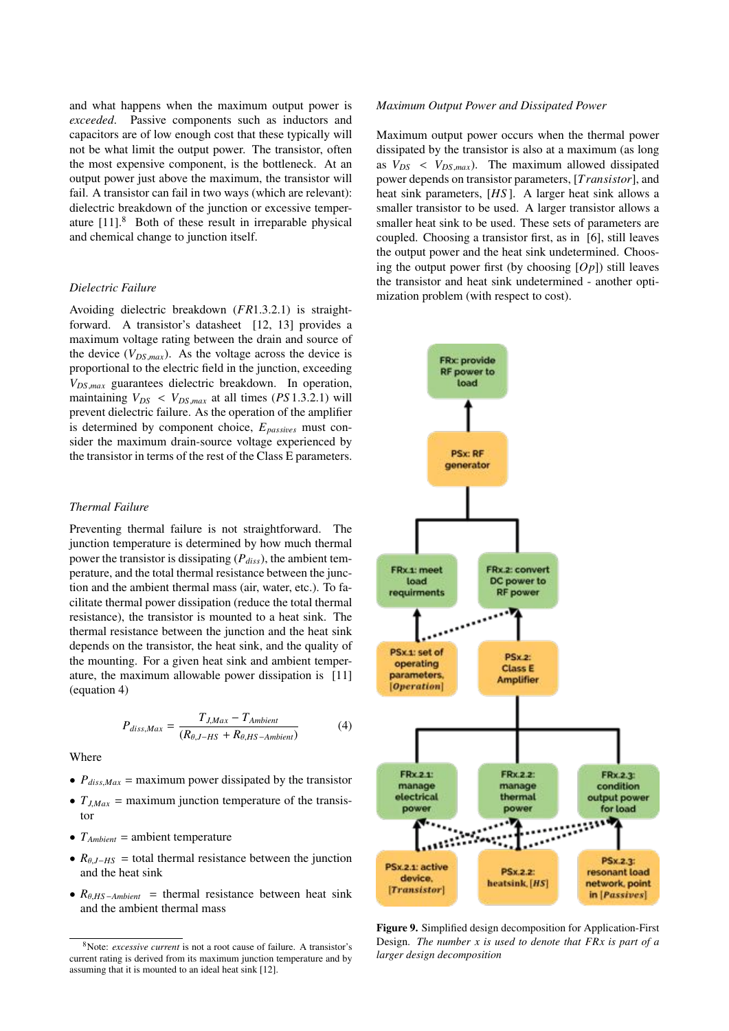and what happens when the maximum output power is *exceeded*. Passive components such as inductors and capacitors are of low enough cost that these typically will not be what limit the output power. The transistor, often the most expensive component, is the bottleneck. At an output power just above the maximum, the transistor will fail. A transistor can fail in two ways (which are relevant): dielectric breakdown of the junction or excessive temperature [11].<sup>8</sup> Both of these result in irreparable physical and chemical change to junction itself.

#### *Dielectric Failure*

Avoiding dielectric breakdown (*FR*1.3.2.1) is straightforward. A transistor's datasheet [12, 13] provides a maximum voltage rating between the drain and source of the device  $(V_{DS,max})$ . As the voltage across the device is proportional to the electric field in the junction, exceeding *VDS*,*max* guarantees dielectric breakdown. In operation, maintaining  $V_{DS}$  <  $V_{DS,max}$  at all times (*PS* 1.3.2.1) will prevent dielectric failure. As the operation of the amplifier is determined by component choice,  $E_{passives}$  must consider the maximum drain-source voltage experienced by the transistor in terms of the rest of the Class E parameters.

## *Thermal Failure*

Preventing thermal failure is not straightforward. The junction temperature is determined by how much thermal power the transistor is dissipating  $(P_{diss})$ , the ambient temperature, and the total thermal resistance between the junction and the ambient thermal mass (air, water, etc.). To facilitate thermal power dissipation (reduce the total thermal resistance), the transistor is mounted to a heat sink. The thermal resistance between the junction and the heat sink depends on the transistor, the heat sink, and the quality of the mounting. For a given heat sink and ambient temperature, the maximum allowable power dissipation is [11] (equation 4)

$$
P_{diss,Max} = \frac{T_{J,Max} - T_{Ambient}}{(R_{\theta,J-HS} + R_{\theta,HS-Ambient})}
$$
(4)

Where

- $P_{diss,Max}$  = maximum power dissipated by the transistor
- $T_{J,Max}$  = maximum junction temperature of the transistor
- $T_{Ambient}$  = ambient temperature
- $R_{\theta, J-HS}$  = total thermal resistance between the junction and the heat sink
- $R_{\theta, HS-Ambient}$  = thermal resistance between heat sink and the ambient thermal mass

#### *Maximum Output Power and Dissipated Power*

Maximum output power occurs when the thermal power dissipated by the transistor is also at a maximum (as long as  $V_{DS} < V_{DS,max}$ ). The maximum allowed dissipated power depends on transistor parameters, [*T ransistor*], and heat sink parameters, [*HS* ]. A larger heat sink allows a smaller transistor to be used. A larger transistor allows a smaller heat sink to be used. These sets of parameters are coupled. Choosing a transistor first, as in [6], still leaves the output power and the heat sink undetermined. Choosing the output power first (by choosing [*Op*]) still leaves the transistor and heat sink undetermined - another optimization problem (with respect to cost).



Figure 9. Simplified design decomposition for Application-First Design. *The number x is used to denote that FRx is part of a larger design decomposition*

<sup>8</sup>Note: *excessive current* is not a root cause of failure. A transistor's current rating is derived from its maximum junction temperature and by assuming that it is mounted to an ideal heat sink [12].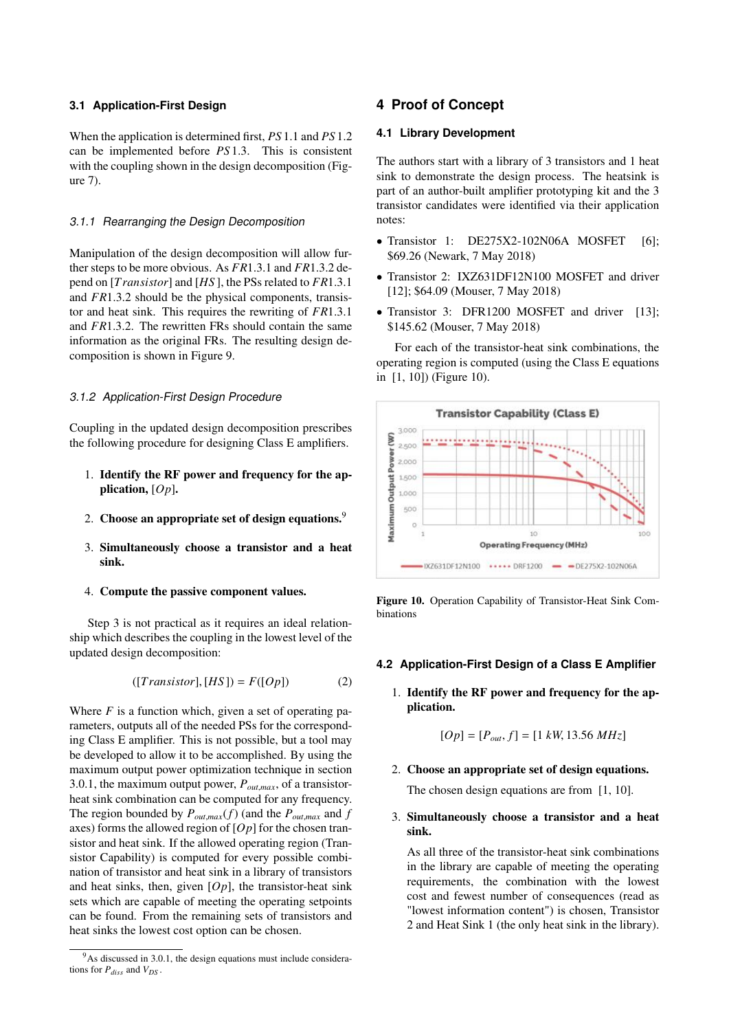#### **3.1 Application-First Design**

When the application is determined first, *PS* 1.1 and *PS* 1.2 can be implemented before *PS* 1.3. This is consistent with the coupling shown in the design decomposition (Figure 7).

#### *3.1.1 Rearranging the Design Decomposition*

Manipulation of the design decomposition will allow further steps to be more obvious. As *FR*1.3.1 and *FR*1.3.2 depend on [*T ransistor*] and [*HS* ], the PSs related to *FR*1.3.1 and *FR*1.3.2 should be the physical components, transistor and heat sink. This requires the rewriting of *FR*1.3.1 and *FR*1.3.2. The rewritten FRs should contain the same information as the original FRs. The resulting design decomposition is shown in Figure 9.

#### *3.1.2 Application-First Design Procedure*

Coupling in the updated design decomposition prescribes the following procedure for designing Class E amplifiers.

- 1. Identify the RF power and frequency for the application, [*Op*].
- 2. Choose an appropriate set of design equations.<sup>9</sup>
- 3. Simultaneously choose a transistor and a heat sink.
- 4. Compute the passive component values.

Step 3 is not practical as it requires an ideal relationship which describes the coupling in the lowest level of the updated design decomposition:

$$
([Transistor], [HS]) = F([Op]) \tag{2}
$$

Where *F* is a function which, given a set of operating parameters, outputs all of the needed PSs for the corresponding Class E amplifier. This is not possible, but a tool may be developed to allow it to be accomplished. By using the maximum output power optimization technique in section 3.0.1, the maximum output power, *Pout*,*max*, of a transistorheat sink combination can be computed for any frequency. The region bounded by  $P_{out, max}(f)$  (and the  $P_{out, max}$  and  $f$ axes) forms the allowed region of [*Op*] for the chosen transistor and heat sink. If the allowed operating region (Transistor Capability) is computed for every possible combination of transistor and heat sink in a library of transistors and heat sinks, then, given [*Op*], the transistor-heat sink sets which are capable of meeting the operating setpoints can be found. From the remaining sets of transistors and heat sinks the lowest cost option can be chosen.

## **4 Proof of Concept**

#### **4.1 Library Development**

The authors start with a library of 3 transistors and 1 heat sink to demonstrate the design process. The heatsink is part of an author-built amplifier prototyping kit and the 3 transistor candidates were identified via their application notes:

- Transistor 1: DE275X2-102N06A MOSFET [6]; \$69.26 (Newark, 7 May 2018)
- Transistor 2: IXZ631DF12N100 MOSFET and driver [12]; \$64.09 (Mouser, 7 May 2018)
- Transistor 3: DFR1200 MOSFET and driver [13]; \$145.62 (Mouser, 7 May 2018)

For each of the transistor-heat sink combinations, the operating region is computed (using the Class E equations in [1, 10]) (Figure 10).



Figure 10. Operation Capability of Transistor-Heat Sink Combinations

### **4.2 Application-First Design of a Class E Amplifier**

1. Identify the RF power and frequency for the application.

$$
[Op] = [P_{out}, f] = [1 kW, 13.56 MHz]
$$

2. Choose an appropriate set of design equations.

The chosen design equations are from [1, 10].

3. Simultaneously choose a transistor and a heat sink.

As all three of the transistor-heat sink combinations in the library are capable of meeting the operating requirements, the combination with the lowest cost and fewest number of consequences (read as "lowest information content") is chosen, Transistor 2 and Heat Sink 1 (the only heat sink in the library).

 $9^9$ As discussed in 3.0.1, the design equations must include considerations for  $P_{diss}$  and  $V_{DS}$ .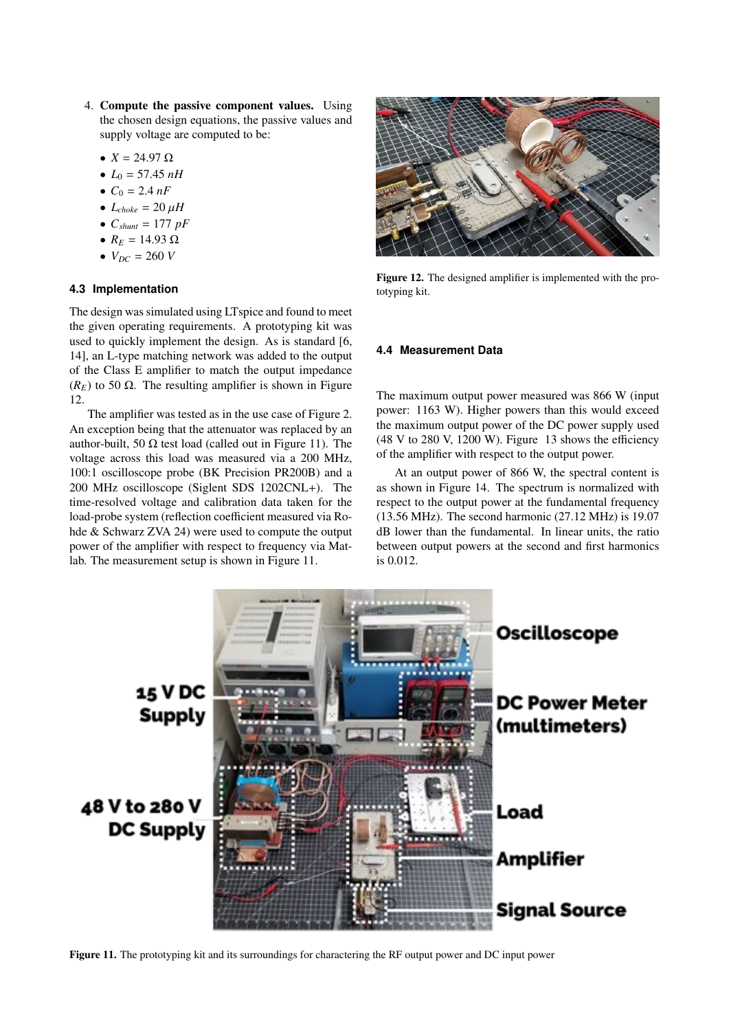- 4. Compute the passive component values. Using the chosen design equations, the passive values and supply voltage are computed to be:
	- $X = 24.97 \Omega$
	- $L_0 = 57.45 \; nH$
	- $C_0 = 2.4 nF$
	- $L_{choke} = 20 \,\mu H$
	- $C_{shunt} = 177 \ pF$
	- $R_E = 14.93 \Omega$
	- $V_{DC} = 260 V$

### **4.3 Implementation**

The design was simulated using LTspice and found to meet the given operating requirements. A prototyping kit was used to quickly implement the design. As is standard [6, 14], an L-type matching network was added to the output of the Class E amplifier to match the output impedance  $(R_F)$  to 50  $\Omega$ . The resulting amplifier is shown in Figure 12.

The amplifier was tested as in the use case of Figure 2. An exception being that the attenuator was replaced by an author-built, 50  $\Omega$  test load (called out in Figure 11). The voltage across this load was measured via a 200 MHz, 100:1 oscilloscope probe (BK Precision PR200B) and a 200 MHz oscilloscope (Siglent SDS 1202CNL+). The time-resolved voltage and calibration data taken for the load-probe system (reflection coefficient measured via Rohde & Schwarz ZVA 24) were used to compute the output power of the amplifier with respect to frequency via Matlab. The measurement setup is shown in Figure 11.



Figure 12. The designed amplifier is implemented with the prototyping kit.

#### **4.4 Measurement Data**

The maximum output power measured was 866 W (input power: 1163 W). Higher powers than this would exceed the maximum output power of the DC power supply used  $(48 V to 280 V, 1200 W)$ . Figure 13 shows the efficiency of the amplifier with respect to the output power.

At an output power of 866 W, the spectral content is as shown in Figure 14. The spectrum is normalized with respect to the output power at the fundamental frequency (13.56 MHz). The second harmonic (27.12 MHz) is 19.07 dB lower than the fundamental. In linear units, the ratio between output powers at the second and first harmonics is 0.012.



Figure 11. The prototyping kit and its surroundings for charactering the RF output power and DC input power